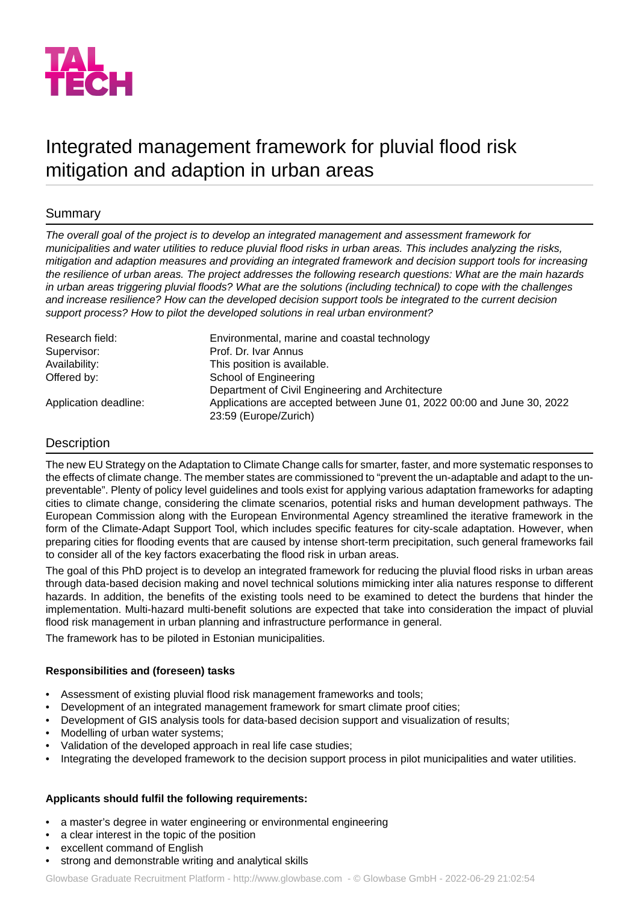

# Integrated management framework for pluvial flood risk mitigation and adaption in urban areas

# Summary

*The overall goal of the project is to develop an integrated management and assessment framework for municipalities and water utilities to reduce pluvial flood risks in urban areas. This includes analyzing the risks, mitigation and adaption measures and providing an integrated framework and decision support tools for increasing the resilience of urban areas. The project addresses the following research questions: What are the main hazards in urban areas triggering pluvial floods? What are the solutions (including technical) to cope with the challenges and increase resilience? How can the developed decision support tools be integrated to the current decision support process? How to pilot the developed solutions in real urban environment?*

| Research field:       | Environmental, marine and coastal technology                            |
|-----------------------|-------------------------------------------------------------------------|
| Supervisor:           | Prof. Dr. Ivar Annus                                                    |
| Availability:         | This position is available.                                             |
| Offered by:           | School of Engineering                                                   |
|                       | Department of Civil Engineering and Architecture                        |
| Application deadline: | Applications are accepted between June 01, 2022 00:00 and June 30, 2022 |
|                       | 23:59 (Europe/Zurich)                                                   |

## Description

The new EU Strategy on the Adaptation to Climate Change calls for smarter, faster, and more systematic responses to the effects of climate change. The member states are commissioned to "prevent the un-adaptable and adapt to the unpreventable". Plenty of policy level guidelines and tools exist for applying various adaptation frameworks for adapting cities to climate change, considering the climate scenarios, potential risks and human development pathways. The European Commission along with the European Environmental Agency streamlined the iterative framework in the form of the Climate-Adapt Support Tool, which includes specific features for city-scale adaptation. However, when preparing cities for flooding events that are caused by intense short-term precipitation, such general frameworks fail to consider all of the key factors exacerbating the flood risk in urban areas.

The goal of this PhD project is to develop an integrated framework for reducing the pluvial flood risks in urban areas through data-based decision making and novel technical solutions mimicking inter alia natures response to different hazards. In addition, the benefits of the existing tools need to be examined to detect the burdens that hinder the implementation. Multi-hazard multi-benefit solutions are expected that take into consideration the impact of pluvial flood risk management in urban planning and infrastructure performance in general.

The framework has to be piloted in Estonian municipalities.

## **Responsibilities and (foreseen) tasks**

- Assessment of existing pluvial flood risk management frameworks and tools;
- Development of an integrated management framework for smart climate proof cities;
- Development of GIS analysis tools for data-based decision support and visualization of results;
- Modelling of urban water systems;
- Validation of the developed approach in real life case studies;
- Integrating the developed framework to the decision support process in pilot municipalities and water utilities.

## **Applicants should fulfil the following requirements:**

- a master's degree in water engineering or environmental engineering
- a clear interest in the topic of the position
- excellent command of English
- strong and demonstrable writing and analytical skills

Glowbase Graduate Recruitment Platform -<http://www.glowbase.com> - © Glowbase GmbH - 2022-06-29 21:02:54